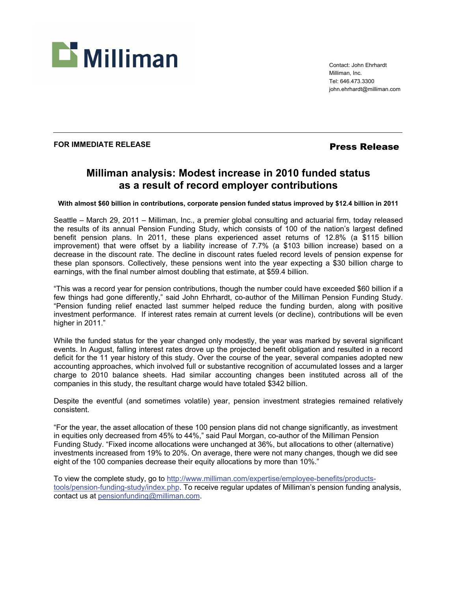

Contact: John Ehrhardt Milliman, Inc. Tel: 646.473.3300 john.ehrhardt@milliman.com

## FOR IMMEDIATE RELEASE *Press Release*

# **Milliman analysis: Modest increase in 2010 funded status as a result of record employer contributions**

**With almost \$60 billion in contributions, corporate pension funded status improved by \$12.4 billion in 2011** 

Seattle – March 29, 2011 – Milliman, Inc., a premier global consulting and actuarial firm, today released the results of its annual Pension Funding Study, which consists of 100 of the nation's largest defined benefit pension plans. In 2011, these plans experienced asset returns of 12.8% (a \$115 billion improvement) that were offset by a liability increase of 7.7% (a \$103 billion increase) based on a decrease in the discount rate. The decline in discount rates fueled record levels of pension expense for these plan sponsors. Collectively, these pensions went into the year expecting a \$30 billion charge to earnings, with the final number almost doubling that estimate, at \$59.4 billion.

"This was a record year for pension contributions, though the number could have exceeded \$60 billion if a few things had gone differently," said John Ehrhardt, co-author of the Milliman Pension Funding Study. "Pension funding relief enacted last summer helped reduce the funding burden, along with positive investment performance. If interest rates remain at current levels (or decline), contributions will be even higher in 2011."

While the funded status for the year changed only modestly, the year was marked by several significant events. In August, falling interest rates drove up the projected benefit obligation and resulted in a record deficit for the 11 year history of this study. Over the course of the year, several companies adopted new accounting approaches, which involved full or substantive recognition of accumulated losses and a larger charge to 2010 balance sheets. Had similar accounting changes been instituted across all of the companies in this study, the resultant charge would have totaled \$342 billion.

Despite the eventful (and sometimes volatile) year, pension investment strategies remained relatively consistent.

"For the year, the asset allocation of these 100 pension plans did not change significantly, as investment in equities only decreased from 45% to 44%," said Paul Morgan, co-author of the Milliman Pension Funding Study. "Fixed income allocations were unchanged at 36%, but allocations to other (alternative) investments increased from 19% to 20%. On average, there were not many changes, though we did see eight of the 100 companies decrease their equity allocations by more than 10%."

To view the complete study, go to http://www.milliman.com/expertise/employee-benefits/productstools/pension-funding-study/index.php. To receive regular updates of Milliman's pension funding analysis, contact us at pensionfunding@milliman.com.